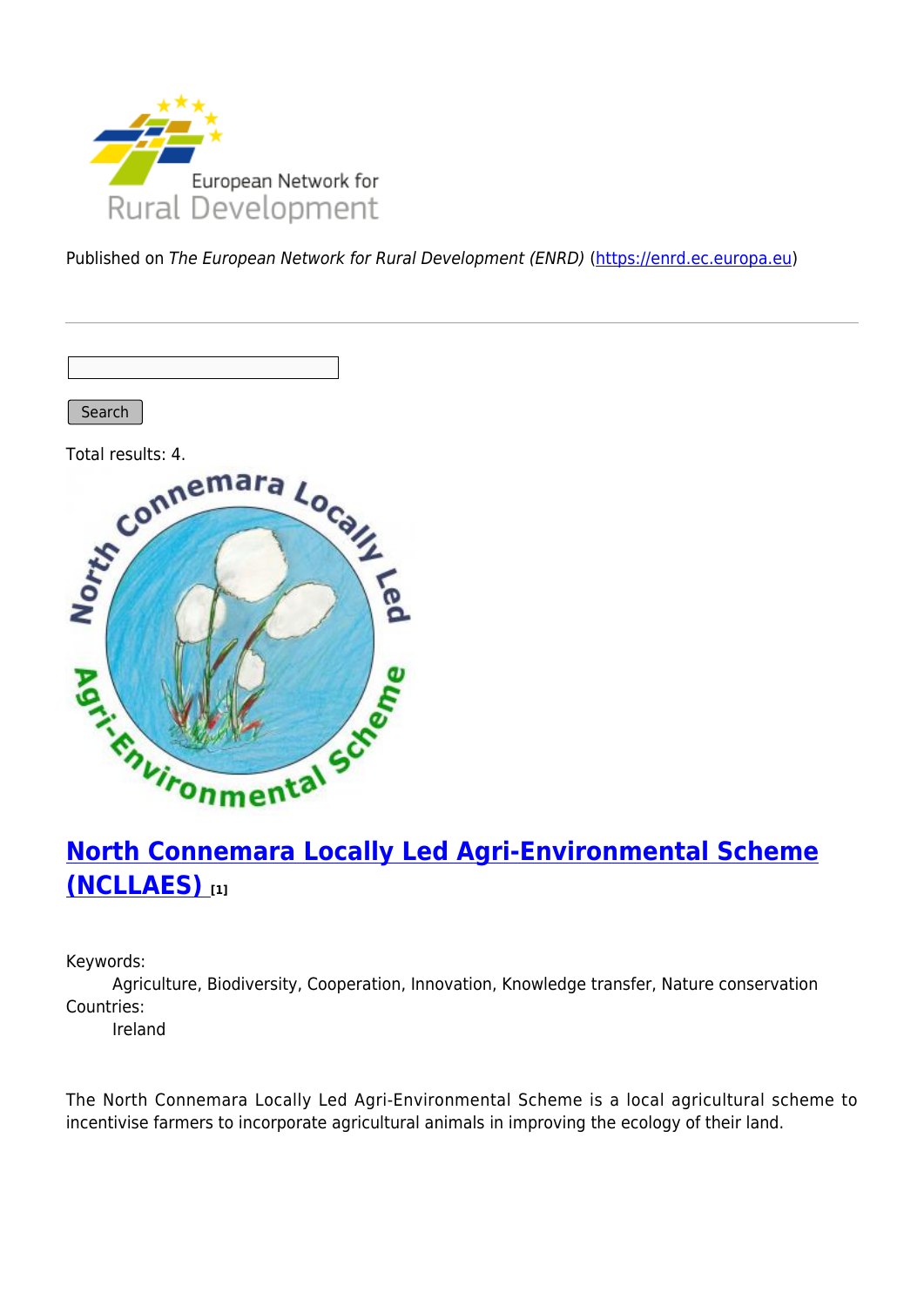

Published on The European Network for Rural Development (ENRD) [\(https://enrd.ec.europa.eu](https://enrd.ec.europa.eu))

Search



# **[North Connemara Locally Led Agri-Environmental Scheme](https://enrd.ec.europa.eu/projects-practice/north-connemara-locally-led-agri-environmental-scheme-ncllaes_en) [\(NCLLAES\)](https://enrd.ec.europa.eu/projects-practice/north-connemara-locally-led-agri-environmental-scheme-ncllaes_en) [1]**

Keywords:

Agriculture, Biodiversity, Cooperation, Innovation, Knowledge transfer, Nature conservation Countries:

Ireland

The North Connemara Locally Led Agri-Environmental Scheme is a local agricultural scheme to incentivise farmers to incorporate agricultural animals in improving the ecology of their land.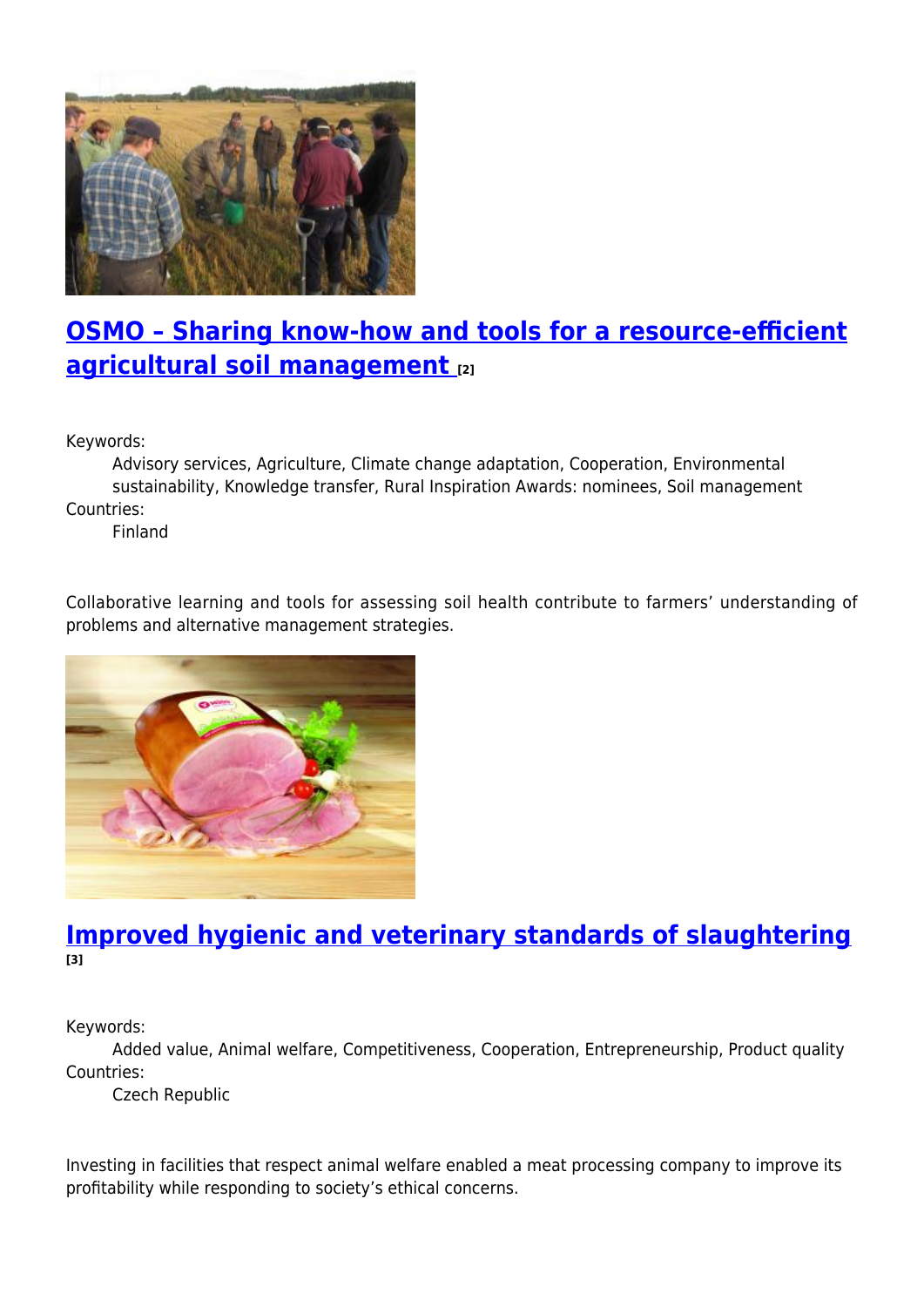

### **[OSMO – Sharing know-how and tools for a resource-efficient](https://enrd.ec.europa.eu/projects-practice/osmo-sharing-know-how-and-tools-resource-efficient-agricultural-soil-management_en) [agricultural soil management](https://enrd.ec.europa.eu/projects-practice/osmo-sharing-know-how-and-tools-resource-efficient-agricultural-soil-management_en) [2]**

Keywords:

Advisory services, Agriculture, Climate change adaptation, Cooperation, Environmental sustainability, Knowledge transfer, Rural Inspiration Awards: nominees, Soil management Countries:

Finland

Collaborative learning and tools for assessing soil health contribute to farmers' understanding of problems and alternative management strategies.



### **[Improved hygienic and veterinary standards of slaughtering](https://enrd.ec.europa.eu/projects-practice/improved-hygienic-and-veterinary-standards-slaughtering_en) [3]**

Keywords:

Added value, Animal welfare, Competitiveness, Cooperation, Entrepreneurship, Product quality Countries:

Czech Republic

Investing in facilities that respect animal welfare enabled a meat processing company to improve its profitability while responding to society's ethical concerns.